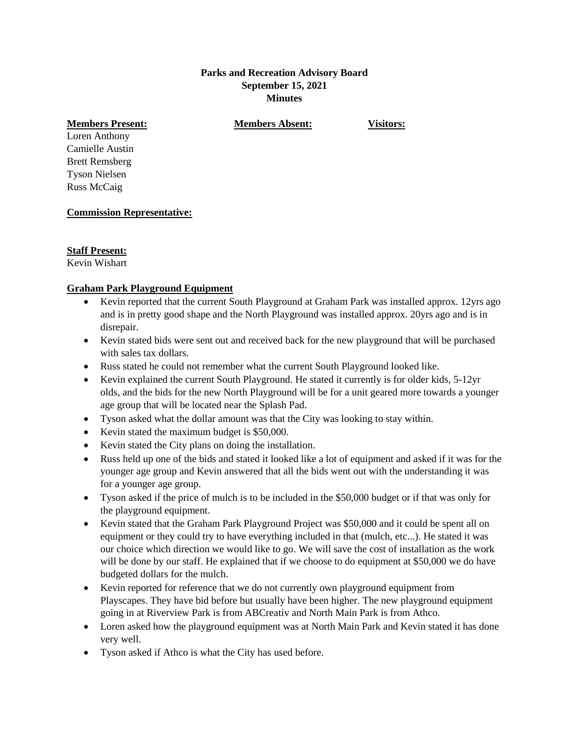#### **Parks and Recreation Advisory Board September 15, 2021 Minutes**

**Members Present: Members Absent: Visitors:**

Loren Anthony Camielle Austin Brett Remsberg Tyson Nielsen Russ McCaig

## **Commission Representative:**

## **Staff Present:**

Kevin Wishart

## **Graham Park Playground Equipment**

- Kevin reported that the current South Playground at Graham Park was installed approx. 12yrs ago and is in pretty good shape and the North Playground was installed approx. 20yrs ago and is in disrepair.
- Kevin stated bids were sent out and received back for the new playground that will be purchased with sales tax dollars.
- Russ stated he could not remember what the current South Playground looked like.
- Kevin explained the current South Playground. He stated it currently is for older kids, 5-12yr olds, and the bids for the new North Playground will be for a unit geared more towards a younger age group that will be located near the Splash Pad.
- Tyson asked what the dollar amount was that the City was looking to stay within.
- Kevin stated the maximum budget is \$50,000.
- Kevin stated the City plans on doing the installation.
- Russ held up one of the bids and stated it looked like a lot of equipment and asked if it was for the younger age group and Kevin answered that all the bids went out with the understanding it was for a younger age group.
- Tyson asked if the price of mulch is to be included in the \$50,000 budget or if that was only for the playground equipment.
- Kevin stated that the Graham Park Playground Project was \$50,000 and it could be spent all on equipment or they could try to have everything included in that (mulch, etc...). He stated it was our choice which direction we would like to go. We will save the cost of installation as the work will be done by our staff. He explained that if we choose to do equipment at \$50,000 we do have budgeted dollars for the mulch.
- Kevin reported for reference that we do not currently own playground equipment from Playscapes. They have bid before but usually have been higher. The new playground equipment going in at Riverview Park is from ABCreativ and North Main Park is from Athco.
- Loren asked how the playground equipment was at North Main Park and Kevin stated it has done very well.
- Tyson asked if Athco is what the City has used before.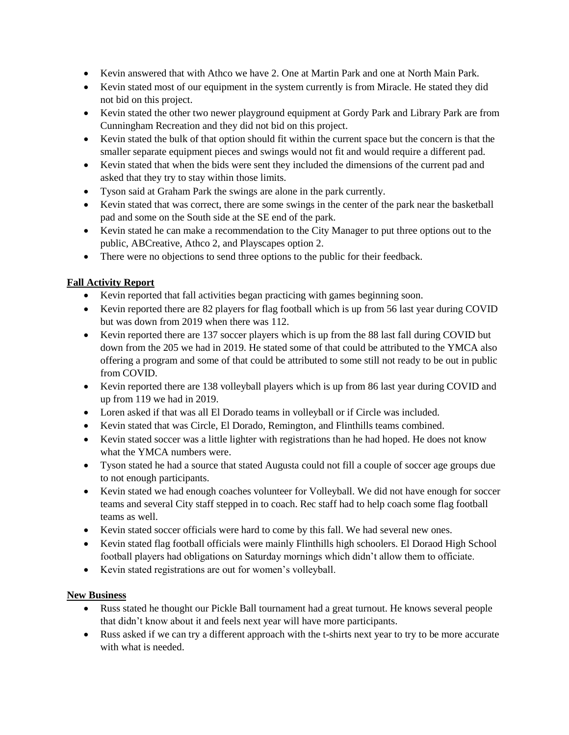- Kevin answered that with Athco we have 2. One at Martin Park and one at North Main Park.
- Kevin stated most of our equipment in the system currently is from Miracle. He stated they did not bid on this project.
- Kevin stated the other two newer playground equipment at Gordy Park and Library Park are from Cunningham Recreation and they did not bid on this project.
- Kevin stated the bulk of that option should fit within the current space but the concern is that the smaller separate equipment pieces and swings would not fit and would require a different pad.
- Kevin stated that when the bids were sent they included the dimensions of the current pad and asked that they try to stay within those limits.
- Tyson said at Graham Park the swings are alone in the park currently.
- Kevin stated that was correct, there are some swings in the center of the park near the basketball pad and some on the South side at the SE end of the park.
- Kevin stated he can make a recommendation to the City Manager to put three options out to the public, ABCreative, Athco 2, and Playscapes option 2.
- There were no objections to send three options to the public for their feedback.

# **Fall Activity Report**

- Kevin reported that fall activities began practicing with games beginning soon.
- Kevin reported there are 82 players for flag football which is up from 56 last year during COVID but was down from 2019 when there was 112.
- Kevin reported there are 137 soccer players which is up from the 88 last fall during COVID but down from the 205 we had in 2019. He stated some of that could be attributed to the YMCA also offering a program and some of that could be attributed to some still not ready to be out in public from COVID.
- Kevin reported there are 138 volleyball players which is up from 86 last year during COVID and up from 119 we had in 2019.
- Loren asked if that was all El Dorado teams in volleyball or if Circle was included.
- Kevin stated that was Circle, El Dorado, Remington, and Flinthills teams combined.
- Kevin stated soccer was a little lighter with registrations than he had hoped. He does not know what the YMCA numbers were.
- Tyson stated he had a source that stated Augusta could not fill a couple of soccer age groups due to not enough participants.
- Kevin stated we had enough coaches volunteer for Volleyball. We did not have enough for soccer teams and several City staff stepped in to coach. Rec staff had to help coach some flag football teams as well.
- Kevin stated soccer officials were hard to come by this fall. We had several new ones.
- Kevin stated flag football officials were mainly Flinthills high schoolers. El Doraod High School football players had obligations on Saturday mornings which didn't allow them to officiate.
- Kevin stated registrations are out for women's volleyball.

## **New Business**

- Russ stated he thought our Pickle Ball tournament had a great turnout. He knows several people that didn't know about it and feels next year will have more participants.
- Russ asked if we can try a different approach with the t-shirts next year to try to be more accurate with what is needed.